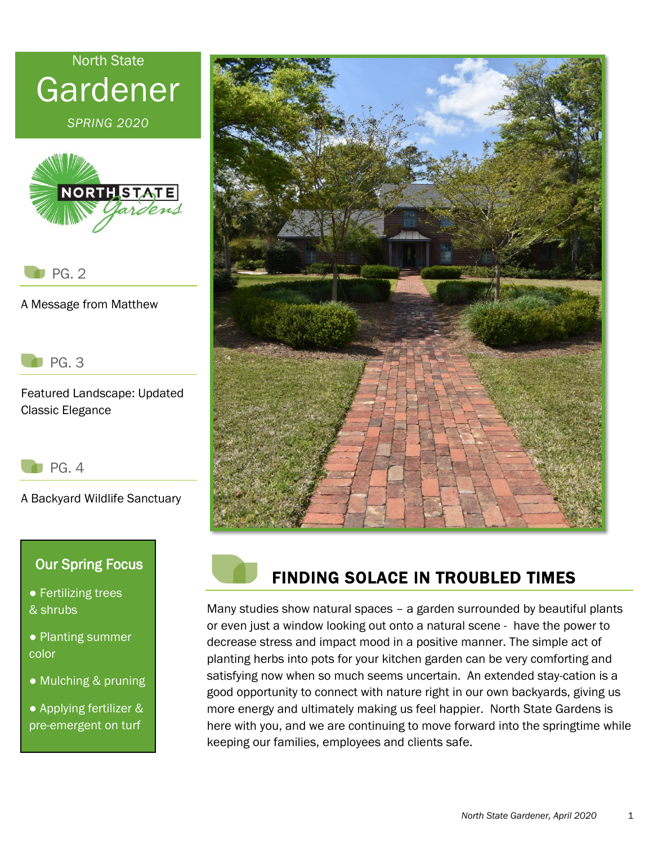

*SPRING 2020*



PG. 2

A Message from Matthew

PG. 3

Featured Landscape: Updated Classic Elegance

 $P$ G. 4

A Backyard Wildlife Sanctuary

## Our Spring Focus

- Fertilizing trees & shrubs
- Planting summer color
- Mulching & pruning

● Applying fertilizer & pre-emergent on turf





## FINDING SOLACE IN TROUBLED TIMES

Many studies show natural spaces – a garden surrounded by beautiful plants or even just a window looking out onto a natural scene - have the power to decrease stress and impact mood in a positive manner. The simple act of planting herbs into pots for your kitchen garden can be very comforting and satisfying now when so much seems uncertain. An extended stay-cation is a good opportunity to connect with nature right in our own backyards, giving us more energy and ultimately making us feel happier. North State Gardens is here with you, and we are continuing to move forward into the springtime while keeping our families, employees and clients safe.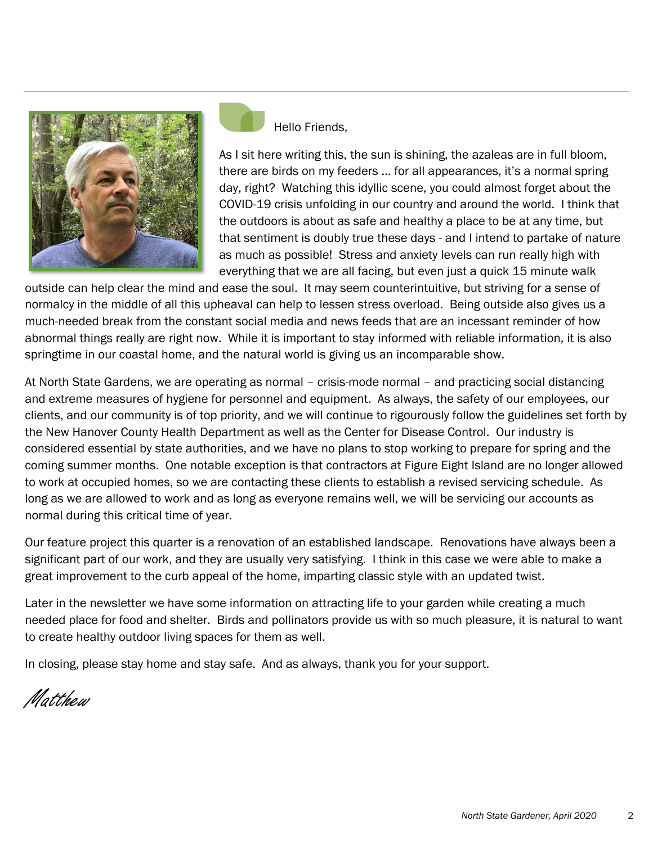

Hello Friends,

As I sit here writing this, the sun is shining, the azaleas are in full bloom, there are birds on my feeders … for all appearances, it's a normal spring day, right? Watching this idyllic scene, you could almost forget about the COVID-19 crisis unfolding in our country and around the world. I think that the outdoors is about as safe and healthy a place to be at any time, but that sentiment is doubly true these days - and I intend to partake of nature as much as possible! Stress and anxiety levels can run really high with everything that we are all facing, but even just a quick 15 minute walk

outside can help clear the mind and ease the soul. It may seem counterintuitive, but striving for a sense of normalcy in the middle of all this upheaval can help to lessen stress overload. Being outside also gives us a much-needed break from the constant social media and news feeds that are an incessant reminder of how abnormal things really are right now. While it is important to stay informed with reliable information, it is also springtime in our coastal home, and the natural world is giving us an incomparable show.

At North State Gardens, we are operating as normal – crisis-mode normal – and practicing social distancing and extreme measures of hygiene for personnel and equipment. As always, the safety of our employees, our clients, and our community is of top priority, and we will continue to rigourously follow the guidelines set forth by the New Hanover County Health Department as well as the Center for Disease Control. Our industry is considered essential by state authorities, and we have no plans to stop working to prepare for spring and the coming summer months. One notable exception is that contractors at Figure Eight Island are no longer allowed to work at occupied homes, so we are contacting these clients to establish a revised servicing schedule. As long as we are allowed to work and as long as everyone remains well, we will be servicing our accounts as normal during this critical time of year.

Our feature project this quarter is a renovation of an established landscape. Renovations have always been a significant part of our work, and they are usually very satisfying. I think in this case we were able to make a great improvement to the curb appeal of the home, imparting classic style with an updated twist.

Later in the newsletter we have some information on attracting life to your garden while creating a much needed place for food and shelter. Birds and pollinators provide us with so much pleasure, it is natural to want to create healthy outdoor living spaces for them as well.

In closing, please stay home and stay safe. And as always, thank you for your support.

Matthew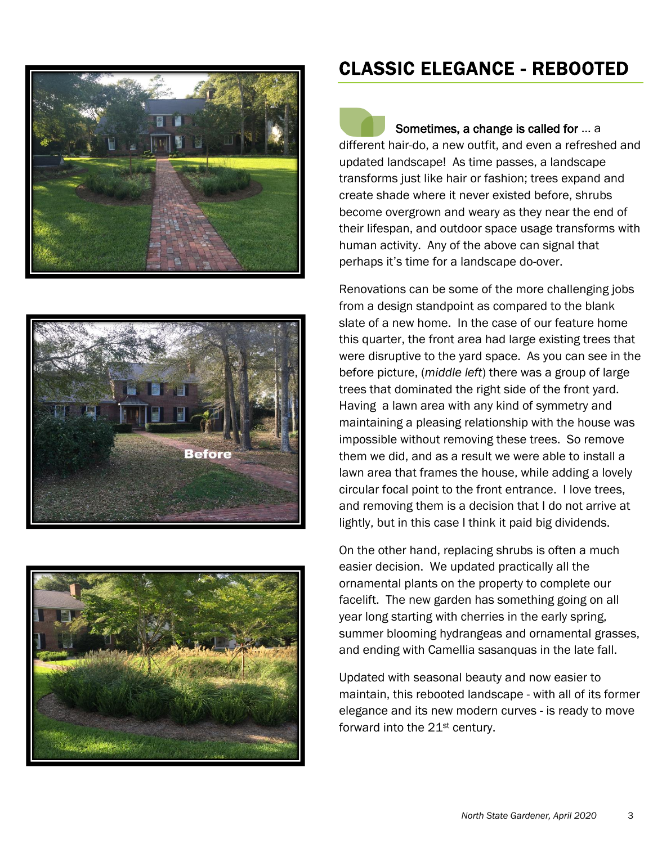





## CLASSIC ELEGANCE - REBOOTED

Sometimes, a change is called for … a different hair-do, a new outfit, and even a refreshed and updated landscape! As time passes, a landscape transforms just like hair or fashion; trees expand and create shade where it never existed before, shrubs become overgrown and weary as they near the end of their lifespan, and outdoor space usage transforms with human activity. Any of the above can signal that perhaps it's time for a landscape do-over.

Renovations can be some of the more challenging jobs from a design standpoint as compared to the blank slate of a new home. In the case of our feature home this quarter, the front area had large existing trees that were disruptive to the yard space. As you can see in the before picture, (*middle left*) there was a group of large trees that dominated the right side of the front yard. Having a lawn area with any kind of symmetry and maintaining a pleasing relationship with the house was impossible without removing these trees. So remove them we did, and as a result we were able to install a lawn area that frames the house, while adding a lovely circular focal point to the front entrance. I love trees, and removing them is a decision that I do not arrive at lightly, but in this case I think it paid big dividends.

On the other hand, replacing shrubs is often a much easier decision. We updated practically all the ornamental plants on the property to complete our facelift. The new garden has something going on all year long starting with cherries in the early spring, summer blooming hydrangeas and ornamental grasses, and ending with Camellia sasanquas in the late fall.

Updated with seasonal beauty and now easier to maintain, this rebooted landscape - with all of its former elegance and its new modern curves - is ready to move forward into the 21<sup>st</sup> century.